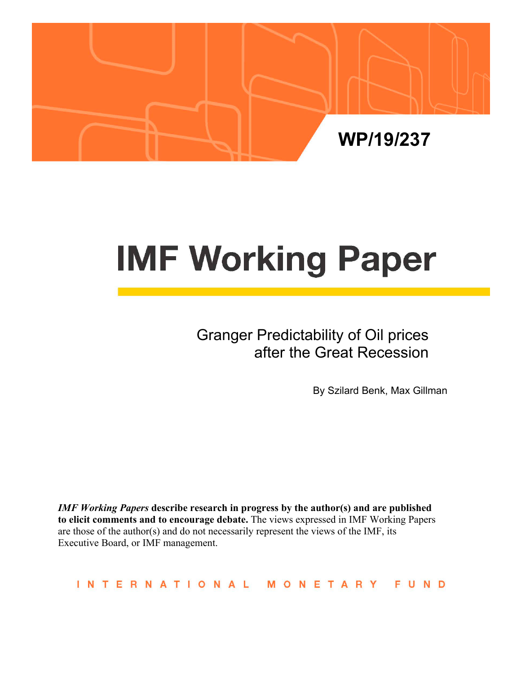

# **IMF Working Paper**

# Granger Predictability of Oil prices after the Great Recession

By Szilard Benk, Max Gillman

*IMF Working Papers* **describe research in progress by the author(s) and are published to elicit comments and to encourage debate.** The views expressed in IMF Working Papers are those of the author(s) and do not necessarily represent the views of the IMF, its Executive Board, or IMF management.

**INTERNATIONAL** MONETARY FUND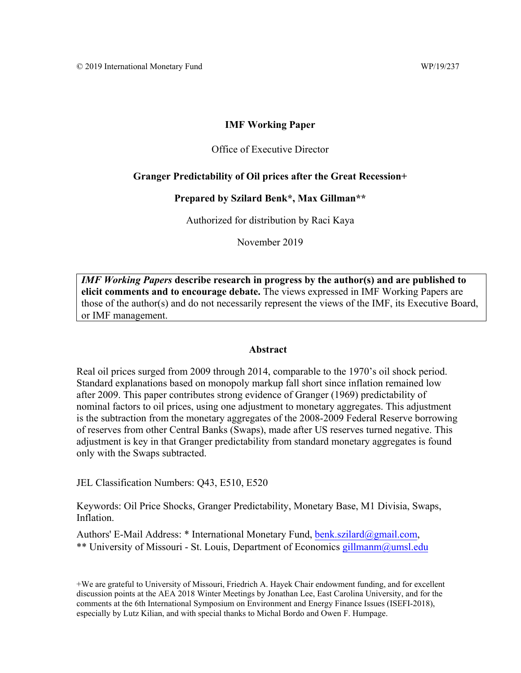# **IMF Working Paper**

#### Office of Executive Director

## **Granger Predictability of Oil prices after the Great Recession+**

#### **Prepared by Szilard Benk\*, Max Gillman\*\***

Authorized for distribution by Raci Kaya

November 2019

*IMF Working Papers* **describe research in progress by the author(s) and are published to elicit comments and to encourage debate.** The views expressed in IMF Working Papers are those of the author(s) and do not necessarily represent the views of the IMF, its Executive Board, or IMF management.

#### **Abstract**

Real oil prices surged from 2009 through 2014, comparable to the 1970's oil shock period. Standard explanations based on monopoly markup fall short since inflation remained low after 2009. This paper contributes strong evidence of Granger (1969) predictability of nominal factors to oil prices, using one adjustment to monetary aggregates. This adjustment is the subtraction from the monetary aggregates of the 2008-2009 Federal Reserve borrowing of reserves from other Central Banks (Swaps), made after US reserves turned negative. This adjustment is key in that Granger predictability from standard monetary aggregates is found only with the Swaps subtracted.

JEL Classification Numbers: Q43, E510, E520

Keywords: Oil Price Shocks, Granger Predictability, Monetary Base, M1 Divisia, Swaps, Inflation.

Authors' E-Mail Address: \* International Monetary Fund, benk.szilard@gmail.com, \*\* University of Missouri - St. Louis, Department of Economics gillmanm@umsl.edu

<sup>+</sup>We are grateful to University of Missouri, Friedrich A. Hayek Chair endowment funding, and for excellent discussion points at the AEA 2018 Winter Meetings by Jonathan Lee, East Carolina University, and for the comments at the 6th International Symposium on Environment and Energy Finance Issues (ISEFI-2018), especially by Lutz Kilian, and with special thanks to Michal Bordo and Owen F. Humpage.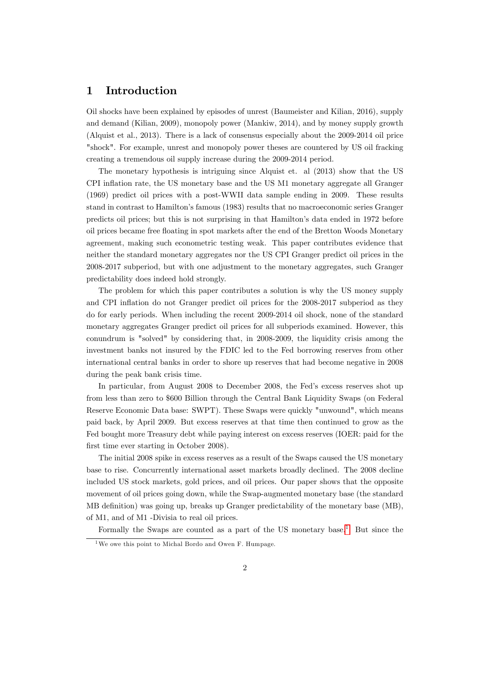# 1 Introduction

Oil shocks have been explained by episodes of unrest (Baumeister and Kilian, 2016), supply and demand (Kilian, 2009), monopoly power (Mankiw, 2014), and by money supply growth (Alquist et al., 2013). There is a lack of consensus especially about the 2009-2014 oil price "shock". For example, unrest and monopoly power theses are countered by US oil fracking creating a tremendous oil supply increase during the 2009-2014 period.

The monetary hypothesis is intriguing since Alquist et. al (2013) show that the US CPI ináation rate, the US monetary base and the US M1 monetary aggregate all Granger (1969) predict oil prices with a post-WWII data sample ending in 2009. These results stand in contrast to Hamiltonís famous (1983) results that no macroeconomic series Granger predicts oil prices; but this is not surprising in that Hamiltonís data ended in 1972 before oil prices became free áoating in spot markets after the end of the Bretton Woods Monetary agreement, making such econometric testing weak. This paper contributes evidence that neither the standard monetary aggregates nor the US CPI Granger predict oil prices in the 2008-2017 subperiod, but with one adjustment to the monetary aggregates, such Granger predictability does indeed hold strongly.

The problem for which this paper contributes a solution is why the US money supply and CPI inflation do not Granger predict oil prices for the 2008-2017 subperiod as they do for early periods. When including the recent 2009-2014 oil shock, none of the standard monetary aggregates Granger predict oil prices for all subperiods examined. However, this conundrum is "solved" by considering that, in 2008-2009, the liquidity crisis among the investment banks not insured by the FDIC led to the Fed borrowing reserves from other international central banks in order to shore up reserves that had become negative in 2008 during the peak bank crisis time.

In particular, from August 2008 to December 2008, the Fed's excess reserves shot up from less than zero to \$600 Billion through the Central Bank Liquidity Swaps (on Federal Reserve Economic Data base: SWPT). These Swaps were quickly "unwound", which means paid back, by April 2009. But excess reserves at that time then continued to grow as the Fed bought more Treasury debt while paying interest on excess reserves (IOER: paid for the first time ever starting in October 2008).

The initial 2008 spike in excess reserves as a result of the Swaps caused the US monetary base to rise. Concurrently international asset markets broadly declined. The 2008 decline included US stock markets, gold prices, and oil prices. Our paper shows that the opposite movement of oil prices going down, while the Swap-augmented monetary base (the standard MB definition) was going up, breaks up Granger predictability of the monetary base (MB), of M1, and of M1 -Divisia to real oil prices.

Formally the Swaps are counted as a part of the US monetary base.<sup>[1](#page-2-0)</sup> But since the

<span id="page-2-0"></span><sup>1</sup>We owe this point to Michal Bordo and Owen F. Humpage.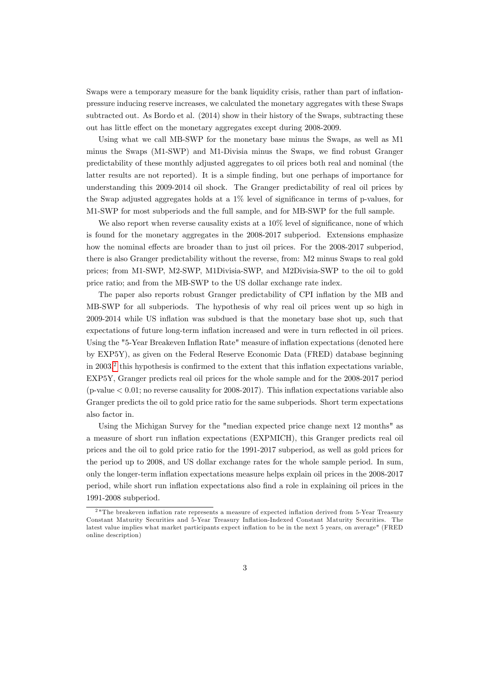Swaps were a temporary measure for the bank liquidity crisis, rather than part of inflationpressure inducing reserve increases, we calculated the monetary aggregates with these Swaps subtracted out. As Bordo et al. (2014) show in their history of the Swaps, subtracting these out has little effect on the monetary aggregates except during 2008-2009.

Using what we call MB-SWP for the monetary base minus the Swaps, as well as M1 minus the Swaps (M1-SWP) and M1-Divisia minus the Swaps, we find robust Granger predictability of these monthly adjusted aggregates to oil prices both real and nominal (the latter results are not reported). It is a simple finding, but one perhaps of importance for understanding this 2009-2014 oil shock. The Granger predictability of real oil prices by the Swap adjusted aggregates holds at a  $1\%$  level of significance in terms of p-values, for M1-SWP for most subperiods and the full sample, and for MB-SWP for the full sample.

We also report when reverse causality exists at a  $10\%$  level of significance, none of which is found for the monetary aggregates in the 2008-2017 subperiod. Extensions emphasize how the nominal effects are broader than to just oil prices. For the 2008-2017 subperiod, there is also Granger predictability without the reverse, from: M2 minus Swaps to real gold prices; from M1-SWP, M2-SWP, M1Divisia-SWP, and M2Divisia-SWP to the oil to gold price ratio; and from the MB-SWP to the US dollar exchange rate index.

The paper also reports robust Granger predictability of CPI inflation by the MB and MB-SWP for all subperiods. The hypothesis of why real oil prices went up so high in 2009-2014 while US ináation was subdued is that the monetary base shot up, such that expectations of future long-term inflation increased and were in turn reflected in oil prices. Using the "5-Year Breakeven Inflation Rate" measure of inflation expectations (denoted here by EXP5Y), as given on the Federal Reserve Economic Data (FRED) database beginning in [2](#page-3-0)003,<sup>2</sup> this hypothesis is confirmed to the extent that this inflation expectations variable, EXP5Y, Granger predicts real oil prices for the whole sample and for the 2008-2017 period  $(p-value < 0.01$ ; no reverse causality for 2008-2017). This inflation expectations variable also Granger predicts the oil to gold price ratio for the same subperiods. Short term expectations also factor in.

Using the Michigan Survey for the "median expected price change next 12 months" as a measure of short run ináation expectations (EXPMICH), this Granger predicts real oil prices and the oil to gold price ratio for the 1991-2017 subperiod, as well as gold prices for the period up to 2008, and US dollar exchange rates for the whole sample period. In sum, only the longer-term ináation expectations measure helps explain oil prices in the 2008-2017 period, while short run inflation expectations also find a role in explaining oil prices in the 1991-2008 subperiod.

<span id="page-3-0"></span><sup>&</sup>lt;sup>2</sup> "The breakeven inflation rate represents a measure of expected inflation derived from 5-Year Treasury Constant Maturity Securities and 5-Year Treasury Inflation-Indexed Constant Maturity Securities. The latest value implies what market participants expect inflation to be in the next 5 years, on average" (FRED online description)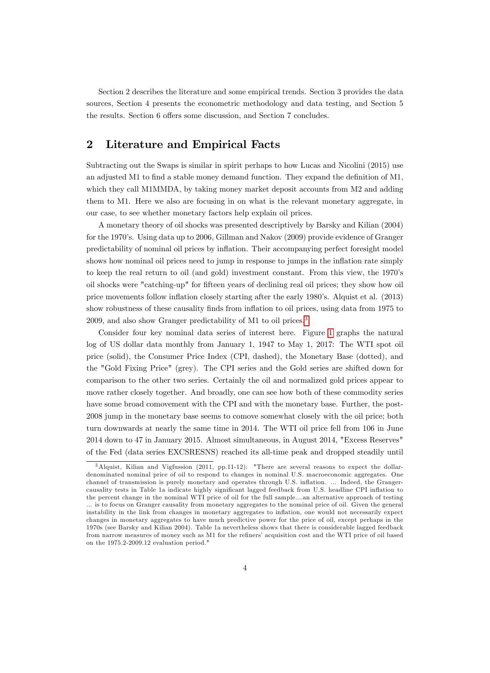Section 2 describes the literature and some empirical trends. Section 3 provides the data sources, Section 4 presents the econometric methodology and data testing, and Section 5 the results. Section 6 offers some discussion, and Section 7 concludes.

# 2 Literature and Empirical Facts

Subtracting out the Swaps is similar in spirit perhaps to how Lucas and Nicolini (2015) use an adjusted M1 to find a stable money demand function. They expand the definition of  $M1$ , which they call M1MMDA, by taking money market deposit accounts from M2 and adding them to M1. Here we also are focusing in on what is the relevant monetary aggregate, in our case, to see whether monetary factors help explain oil prices.

A monetary theory of oil shocks was presented descriptively by Barsky and Kilian (2004) for the 1970ís. Using data up to 2006, Gillman and Nakov (2009) provide evidence of Granger predictability of nominal oil prices by ináation. Their accompanying perfect foresight model shows how nominal oil prices need to jump in response to jumps in the inflation rate simply to keep the real return to oil (and gold) investment constant. From this view, the 1970ís oil shocks were "catching-up" for fifteen years of declining real oil prices; they show how oil price movements follow inflation closely starting after the early 1980's. Alquist et al. (2013) show robustness of these causality finds from inflation to oil prices, using data from 1975 to 2009, and also show Granger predictability of M1 to oil prices.<sup>[3](#page-4-0)</sup>

Consider four key nominal data series of interest here. Figure [1](#page-5-0) graphs the natural log of US dollar data monthly from January 1, 1947 to May 1, 2017: The WTI spot oil price (solid), the Consumer Price Index (CPI, dashed), the Monetary Base (dotted), and the "Gold Fixing Price" (grey). The CPI series and the Gold series are shifted down for comparison to the other two series. Certainly the oil and normalized gold prices appear to move rather closely together. And broadly, one can see how both of these commodity series have some broad comovement with the CPI and with the monetary base. Further, the post-2008 jump in the monetary base seems to comove somewhat closely with the oil price; both turn downwards at nearly the same time in 2014. The WTI oil price fell from 106 in June 2014 down to 47 in January 2015. Almost simultaneous, in August 2014, "Excess Reserves" of the Fed (data series EXCSRESNS) reached its all-time peak and dropped steadily until

<span id="page-4-0"></span><sup>&</sup>lt;sup>3</sup> Alquist, Kilian and Vigfussion (2011, pp.11-12): "There are several reasons to expect the dollardenominated nominal price of oil to respond to changes in nominal U.S. macroeconomic aggregates. One channel of transmission is purely monetary and operates through U.S. inflation. ... Indeed, the Grangercausality tests in Table 1a indicate highly significant lagged feedback from U.S. headline CPI inflation to the percent change in the nominal WTI price of oil for the full sample....an alternative approach of testing ... is to focus on Granger causality from monetary aggregates to the nominal price of oil. Given the general instability in the link from changes in monetary aggregates to ináation, one would not necessarily expect changes in monetary aggregates to have much predictive power for the price of oil, except perhaps in the 1970s (see Barsky and Kilian 2004). Table 1a nevertheless shows that there is considerable lagged feedback from narrow measures of money such as M1 for the refiners' acquisition cost and the WTI price of oil based on the 1975.2-2009.12 evaluation period."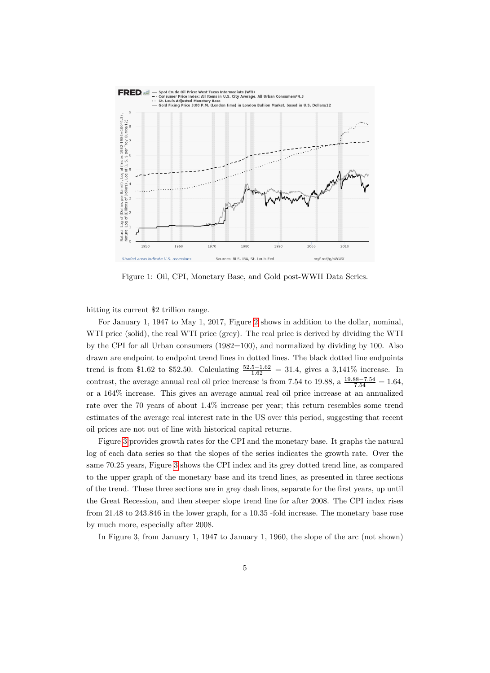

<span id="page-5-0"></span>Figure 1: Oil, CPI, Monetary Base, and Gold post-WWII Data Series.

hitting its current \$2 trillion range.

For January 1, 1947 to May 1, 2017, Figure [2](#page-6-0) shows in addition to the dollar, nominal, WTI price (solid), the real WTI price (grey). The real price is derived by dividing the WTI by the CPI for all Urban consumers (1982=100), and normalized by dividing by 100. Also drawn are endpoint to endpoint trend lines in dotted lines. The black dotted line endpoints trend is from \$1.62 to \$52.50. Calculating  $\frac{52.5-1.62}{1.62} = 31.4$ , gives a 3,141\% increase. In contrast, the average annual real oil price increase is from 7.54 to 19.88, a  $\frac{19.88-7.54}{7.54} = 1.64$ , or a 164% increase. This gives an average annual real oil price increase at an annualized rate over the 70 years of about 1:4% increase per year; this return resembles some trend estimates of the average real interest rate in the US over this period, suggesting that recent oil prices are not out of line with historical capital returns.

Figure [3](#page-6-1) provides growth rates for the CPI and the monetary base. It graphs the natural log of each data series so that the slopes of the series indicates the growth rate. Over the same 70.25 years, Figure [3](#page-6-1) shows the CPI index and its grey dotted trend line, as compared to the upper graph of the monetary base and its trend lines, as presented in three sections of the trend. These three sections are in grey dash lines, separate for the first years, up until the Great Recession, and then steeper slope trend line for after 2008. The CPI index rises from 21.48 to 243.846 in the lower graph, for a 10:35 -fold increase: The monetary base rose by much more, especially after 2008.

In Figure 3, from January 1, 1947 to January 1, 1960, the slope of the arc (not shown)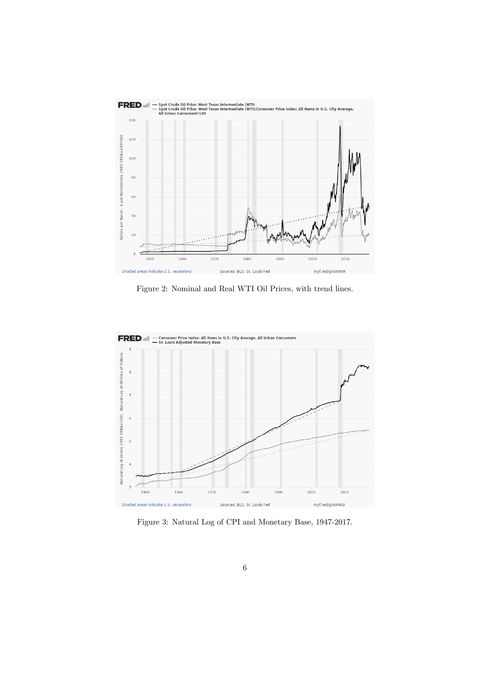

<span id="page-6-0"></span>Figure 2: Nominal and Real WTI Oil Prices, with trend lines.



<span id="page-6-1"></span>Figure 3: Natural Log of CPI and Monetary Base, 1947-2017.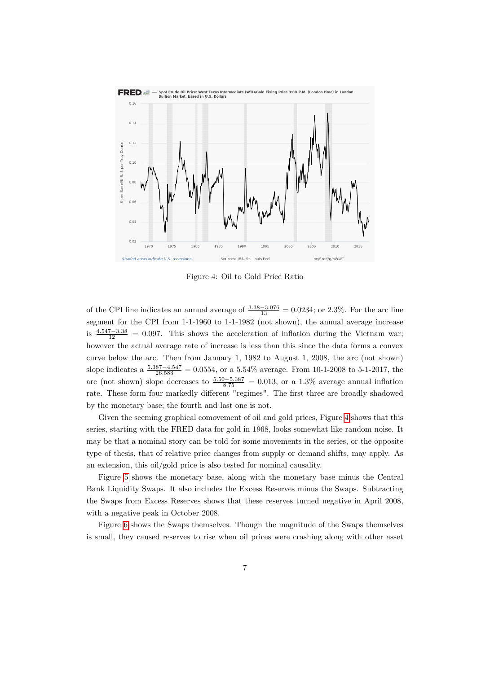

<span id="page-7-0"></span>Figure 4: Oil to Gold Price Ratio

of the CPI line indicates an annual average of  $\frac{3.38-3.076}{13} = 0.0234$ ; or 2.3%. For the arc line segment for the CPI from 1-1-1960 to 1-1-1982 (not shown), the annual average increase is  $\frac{4.547-3.38}{12}$  = 0.097. This shows the acceleration of inflation during the Vietnam war; however the actual average rate of increase is less than this since the data forms a convex curve below the arc. Then from January 1, 1982 to August 1, 2008, the arc (not shown) slope indicates a  $\frac{5.387 - 4.547}{26.583} = 0.0554$ , or a  $5.54\%$  average. From 10-1-2008 to 5-1-2017, the arc (not shown) slope decreases to  $\frac{5.50 - 5.387}{8.75} = 0.013$ , or a 1.3% average annual inflation rate. These form four markedly different "regimes". The first three are broadly shadowed by the monetary base; the fourth and last one is not.

Given the seeming graphical comovement of oil and gold prices, Figure [4](#page-7-0) shows that this series, starting with the FRED data for gold in 1968, looks somewhat like random noise. It may be that a nominal story can be told for some movements in the series, or the opposite type of thesis, that of relative price changes from supply or demand shifts, may apply. As an extension, this oil/gold price is also tested for nominal causality.

Figure [5](#page-8-0) shows the monetary base, along with the monetary base minus the Central Bank Liquidity Swaps. It also includes the Excess Reserves minus the Swaps. Subtracting the Swaps from Excess Reserves shows that these reserves turned negative in April 2008, with a negative peak in October 2008.

Figure [6](#page-9-0) shows the Swaps themselves. Though the magnitude of the Swaps themselves is small, they caused reserves to rise when oil prices were crashing along with other asset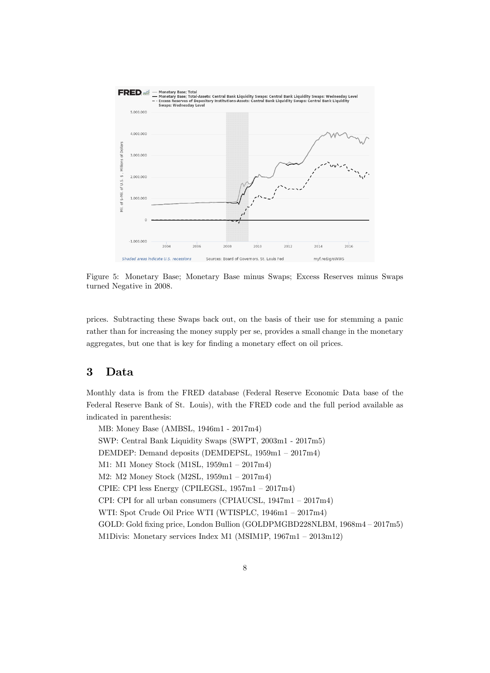

<span id="page-8-0"></span>Figure 5: Monetary Base; Monetary Base minus Swaps; Excess Reserves minus Swaps turned Negative in 2008.

prices. Subtracting these Swaps back out, on the basis of their use for stemming a panic rather than for increasing the money supply per se, provides a small change in the monetary aggregates, but one that is key for finding a monetary effect on oil prices.

# 3 Data

Monthly data is from the FRED database (Federal Reserve Economic Data base of the Federal Reserve Bank of St. Louis), with the FRED code and the full period available as indicated in parenthesis:

MB: Money Base (AMBSL, 1946m1 - 2017m4) SWP: Central Bank Liquidity Swaps (SWPT, 2003m1 - 2017m5) DEMDEP: Demand deposits (DEMDEPSL,  $1959m1 - 2017m4$ ) M1: M1 Money Stock (M1SL,  $1959m1 - 2017m4$ ) M2: M2 Money Stock (M2SL,  $1959m1 - 2017m4$ ) CPIE: CPI less Energy (CPILEGSL,  $1957m1 - 2017m4$ ) CPI: CPI for all urban consumers (CPIAUCSL,  $1947m1 - 2017m4$ ) WTI: Spot Crude Oil Price WTI (WTISPLC,  $1946m1 - 2017m4$ ) GOLD: Gold fixing price, London Bullion (GOLDPMGBD228NLBM,  $1968m4 - 2017m5$ ) M1Divis: Monetary services Index M1 (MSIM1P,  $1967m1 - 2013m12$ )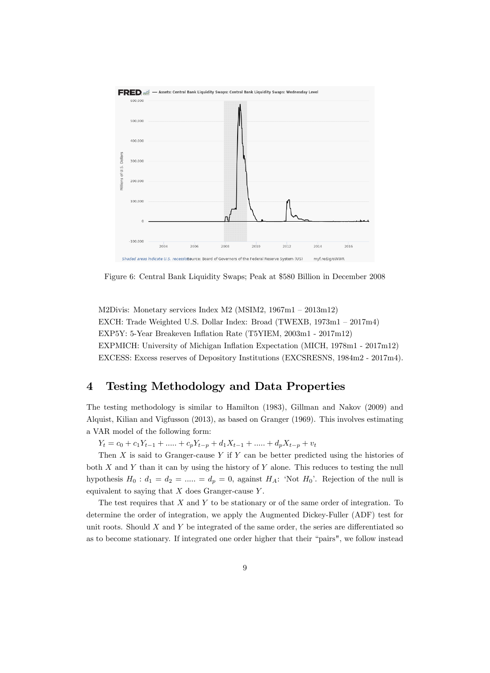

<span id="page-9-0"></span>Figure 6: Central Bank Liquidity Swaps; Peak at \$580 Billion in December 2008

M2Divis: Monetary services Index M2 (MSIM2,  $1967m1 - 2013m12$ ) EXCH: Trade Weighted U.S. Dollar Index: Broad (TWEXB,  $1973m1 - 2017m4$ ) EXP5Y: 5-Year Breakeven Inflation Rate (T5YIEM, 2003m1 - 2017m12) EXPMICH: University of Michigan Inflation Expectation (MICH, 1978m1 - 2017m12) EXCESS: Excess reserves of Depository Institutions (EXCSRESNS, 1984m2 - 2017m4).

# 4 Testing Methodology and Data Properties

The testing methodology is similar to Hamilton (1983), Gillman and Nakov (2009) and Alquist, Kilian and Vigfusson (2013), as based on Granger (1969). This involves estimating a VAR model of the following form:

 $Y_t = c_0 + c_1Y_{t-1} + \dots + c_pY_{t-p} + d_1X_{t-1} + \dots + d_pX_{t-p} + v_t$ 

Then  $X$  is said to Granger-cause  $Y$  if  $Y$  can be better predicted using the histories of both  $X$  and  $Y$  than it can by using the history of  $Y$  alone. This reduces to testing the null hypothesis  $H_0: d_1 = d_2 = \dots = d_p = 0$ , against  $H_A:$  'Not  $H_0$ '. Rejection of the null is equivalent to saying that  $X$  does Granger-cause  $Y$ .

The test requires that  $X$  and  $Y$  to be stationary or of the same order of integration. To determine the order of integration, we apply the Augmented Dickey-Fuller (ADF) test for unit roots. Should  $X$  and  $Y$  be integrated of the same order, the series are differentiated so as to become stationary. If integrated one order higher that their "pairs", we follow instead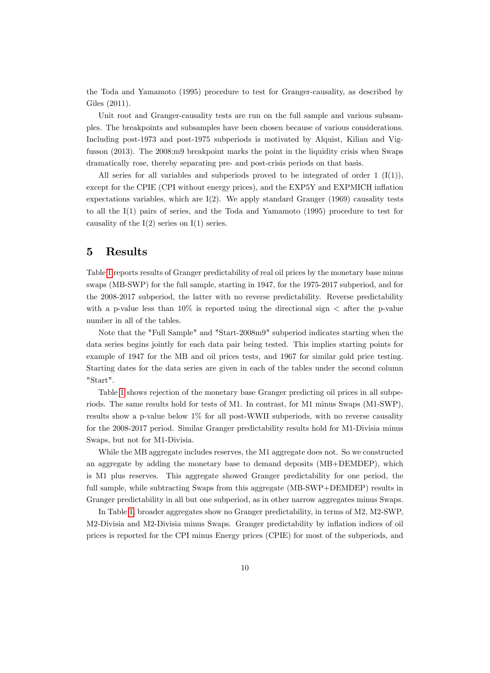the Toda and Yamamoto (1995) procedure to test for Granger-causality, as described by Giles (2011).

Unit root and Granger-causality tests are run on the full sample and various subsamples. The breakpoints and subsamples have been chosen because of various considerations. Including post-1973 and post-1975 subperiods is motivated by Alquist, Kilian and Vigfusson (2013). The 2008:m9 breakpoint marks the point in the liquidity crisis when Swaps dramatically rose, thereby separating pre- and post-crisis periods on that basis.

All series for all variables and subperiods proved to be integrated of order 1  $(I(1))$ , except for the CPIE (CPI without energy prices), and the EXP5Y and EXPMICH inflation expectations variables, which are  $I(2)$ . We apply standard Granger (1969) causality tests to all the I(1) pairs of series, and the Toda and Yamamoto (1995) procedure to test for causality of the  $I(2)$  series on  $I(1)$  series.

# 5 Results

Table [1](#page-11-0) reports results of Granger predictability of real oil prices by the monetary base minus swaps (MB-SWP) for the full sample, starting in 1947, for the 1975-2017 subperiod, and for the 2008-2017 subperiod, the latter with no reverse predictability. Reverse predictability with a p-value less than  $10\%$  is reported using the directional sign  $\lt$  after the p-value number in all of the tables.

Note that the "Full Sample" and "Start-2008m9" subperiod indicates starting when the data series begins jointly for each data pair being tested. This implies starting points for example of 1947 for the MB and oil prices tests, and 1967 for similar gold price testing. Starting dates for the data series are given in each of the tables under the second column "Start".

Table [1](#page-11-0) shows rejection of the monetary base Granger predicting oil prices in all subperiods. The same results hold for tests of M1. In contrast, for M1 minus Swaps (M1-SWP), results show a p-value below 1% for all post-WWII subperiods, with no reverse causality for the 2008-2017 period. Similar Granger predictability results hold for M1-Divisia minus Swaps, but not for M1-Divisia.

While the MB aggregate includes reserves, the M1 aggregate does not. So we constructed an aggregate by adding the monetary base to demand deposits (MB+DEMDEP), which is M1 plus reserves. This aggregate showed Granger predictability for one period, the full sample, while subtracting Swaps from this aggregate (MB-SWP+DEMDEP) results in Granger predictability in all but one subperiod, as in other narrow aggregates minus Swaps.

In Table [1,](#page-11-0) broader aggregates show no Granger predictability, in terms of M2, M2-SWP, M2-Divisia and M2-Divisia minus Swaps. Granger predictability by inflation indices of oil prices is reported for the CPI minus Energy prices (CPIE) for most of the subperiods, and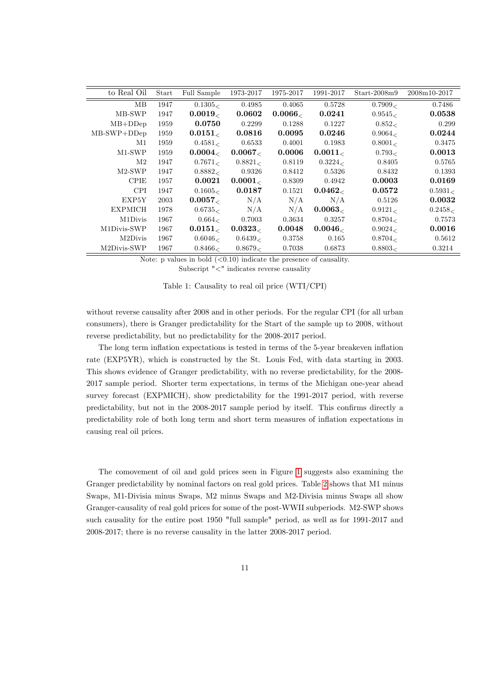| to Real Oil    | Start | Full Sample        | 1973-2017  | 1975-2017 | 1991-2017           | $Start-2008m9$ | 2008m10-2017 |
|----------------|-------|--------------------|------------|-----------|---------------------|----------------|--------------|
| MB             | 1947  | 0.1305<            | 0.4985     | 0.4065    | 0.5728              | 0.7909<        | 0.7486       |
| MB-SWP         | 1947  | 0.0019 <sub></sub> | 0.0602     | $0.0066$  | 0.0241              | 0.9545<        | 0.0538       |
| $MB+DDep$      | 1959  | 0.0750             | 0.2299     | 0.1288    | 0.1227              | 0.852<         | 0.299        |
| $MB-SWP+DDep$  | 1959  | 0.0151<            | 0.0816     | 0.0095    | 0.0246              | 0.9064         | 0.0244       |
| M1             | 1959  | 0.4581<            | 0.6533     | 0.4001    | 0.1983              | 0.8001         | 0.3475       |
| $M1-SWP$       | 1959  | 0.0004<            | $0.0067$   | 0.0006    | 0.0011              | 0.793<         | 0.0013       |
| $\rm M2$       | 1947  | 0.7671             | 0.8821     | 0.8119    | 0.3224 <sub>5</sub> | 0.8405         | 0.5765       |
| $M2-SWP$       | 1947  | 0.8882<            | 0.9326     | 0.8412    | 0.5326              | 0.8432         | 0.1393       |
| <b>CPIE</b>    | 1957  | 0.0021             | 0.0001<    | 0.8309    | 0.4942              | 0.0003         | 0.0169       |
| <b>CPI</b>     | 1947  | 0.1605<            | 0.0187     | 0.1521    | 0.0462<             | 0.0572         | 0.5931<      |
| EXP5Y          | 2003  | 0.0057 <sub></sub> | N/A        | N/A       | N/A                 | 0.5126         | 0.0032       |
| <b>EXPMICH</b> | 1978  | 0.6735             | N/A        | N/A       | 0.0063              | 0.9121         | 0.2458<      |
| M1Divis        | 1967  | 0.664              | 0.7003     | 0.3634    | 0.3257              | 0.8704         | 0.7573       |
| M1Divis-SWP    | 1967  | $0.0151_<$         | $0.0323_<$ | 0.0048    | 0.0046<             | 0.9024         | 0.0016       |
| M2Divis        | 1967  | 0.6046<            | 0.6439<    | 0.3758    | 0.165               | 0.8704<        | 0.5612       |
| M2Divis-SWP    | 1967  | 0.8466<            | 0.8679<    | 0.7038    | 0.6873              | 0.8803<        | 0.3214       |

Note: p values in bold  $( $0.10$ ) indicate the presence of causality.$ 

<span id="page-11-0"></span>Subscript "<" indicates reverse causality

|  |  |  |  |  |  | $\mathbf{u}$ , $\mathbf{v}$ , $\mathbf{v}$ , $\mathbf{v}$ , $\mathbf{v}$ , $\mathbf{v}$ , $\mathbf{v}$ , $\mathbf{v}$ , $\mathbf{v}$ , $\mathbf{v}$ , $\mathbf{v}$ , $\mathbf{v}$ , $\mathbf{v}$ , $\mathbf{v}$ , $\mathbf{v}$ , $\mathbf{v}$ , $\mathbf{v}$ , $\mathbf{v}$ , $\mathbf{v}$ , $\mathbf{v}$ , $\mathbf{v}$ , $\mathbf{v}$ , |
|--|--|--|--|--|--|-------------------------------------------------------------------------------------------------------------------------------------------------------------------------------------------------------------------------------------------------------------------------------------------------------------------------------------------|
|  |  |  |  |  |  |                                                                                                                                                                                                                                                                                                                                           |
|  |  |  |  |  |  |                                                                                                                                                                                                                                                                                                                                           |
|  |  |  |  |  |  |                                                                                                                                                                                                                                                                                                                                           |
|  |  |  |  |  |  |                                                                                                                                                                                                                                                                                                                                           |

Table 1: Causality to real oil price (WTI/CPI)

without reverse causality after 2008 and in other periods. For the regular CPI (for all urban consumers), there is Granger predictability for the Start of the sample up to 2008, without reverse predictability, but no predictability for the 2008-2017 period.

The long term inflation expectations is tested in terms of the 5-year breakeven inflation rate (EXP5YR), which is constructed by the St. Louis Fed, with data starting in 2003. This shows evidence of Granger predictability, with no reverse predictability, for the 2008- 2017 sample period. Shorter term expectations, in terms of the Michigan one-year ahead survey forecast (EXPMICH), show predictability for the 1991-2017 period, with reverse predictability, but not in the 2008-2017 sample period by itself. This confirms directly a predictability role of both long term and short term measures of ináation expectations in causing real oil prices.

The comovement of oil and gold prices seen in Figure [1](#page-5-0) suggests also examining the Granger predictability by nominal factors on real gold prices. Table [2](#page-12-0) shows that M1 minus Swaps, M1-Divisia minus Swaps, M2 minus Swaps and M2-Divisia minus Swaps all show Granger-causality of real gold prices for some of the post-WWII subperiods. M2-SWP shows such causality for the entire post 1950 "full sample" period, as well as for 1991-2017 and 2008-2017; there is no reverse causality in the latter 2008-2017 period.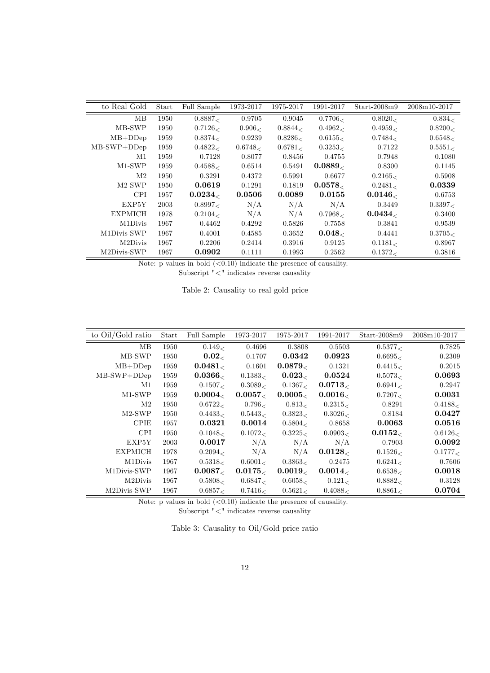| to Real Gold  | Start | Full Sample | 1973-2017 | 1975-2017 | 1991-2017          | $Start-2008m9$ | 2008m10-2017 |
|---------------|-------|-------------|-----------|-----------|--------------------|----------------|--------------|
| MВ            | 1950  | 0.8887<     | 0.9705    | 0.9045    | 0.7706<            | 0.8020<        | 0.834<       |
| MB-SWP        | 1950  | 0.7126<     | 0.906<    | 0.8844<   | 0.4962<            | 0.4959<        | 0.8200<      |
| $MB+DDep$     | 1959  | 0.8374<     | 0.9239    | 0.8286<   | 0.6155<            | 0.7484<        | 0.6548<      |
| $MB-SWP+DDep$ | 1959  | 0.4822<     | 0.6748<   | 0.6781<   | 0.3253             | 0.7122         | 0.5551       |
| M1            | 1959  | 0.7128      | 0.8077    | 0.8456    | 0.4755             | 0.7948         | 0.1080       |
| $M1-SWP$      | 1959  | 0.4588<     | 0.6514    | 0.5491    | $0.0889_<$         | 0.8300         | 0.1145       |
| $\rm M2$      | 1950  | 0.3291      | 0.4372    | 0.5991    | 0.6677             | 0.2165<        | 0.5908       |
| $M2-SWP$      | 1950  | 0.0619      | 0.1291    | 0.1819    | 0.0578 <sub></sub> | 0.2481         | 0.0339       |
| CPI.          | 1957  | $0.0234_<$  | 0.0506    | 0.0089    | 0.0155             | 0.0146<        | 0.6753       |
| EXP5Y         | 2003  | 0.8997<     | N/A       | N/A       | N/A                | 0.3449         | 0.3397<      |
| EXPMICH       | 1978  | 0.2104<     | N/A       | N/A       | 0.7968<            | 0.0434<        | 0.3400       |
| M1Divis       | 1967  | 0.4462      | 0.4292    | 0.5826    | 0.7558             | 0.3841         | 0.9539       |
| M1Divis-SWP   | 1967  | 0.4001      | 0.4585    | 0.3652    | $0.048$            | 0.4441         | 0.3705       |
| M2Divis       | 1967  | 0.2206      | 0.2414    | 0.3916    | 0.9125             | 0.1181<        | 0.8967       |
| M2Divis-SWP   | 1967  | 0.0902      | 0.1111    | 0.1993    | 0.2562             | 0.1372<        | 0.3816       |

Note: p values in bold  $( $0.10$ ) indicate the presence of causality.$ 

Subscript  $" \! < "$  indicates reverse causality

<span id="page-12-0"></span>

|  | Table 2: Causality to real gold price |  |  |  |
|--|---------------------------------------|--|--|--|
|--|---------------------------------------|--|--|--|

| to Oil/Gold ratio | Start | Full Sample             | 1973-2017  | 1975-2017               | 1991-2017  | $Start-2008m9$ | 2008m10-2017 |
|-------------------|-------|-------------------------|------------|-------------------------|------------|----------------|--------------|
| MВ                | 1950  | 0.149<                  | 0.4696     | 0.3808                  | 0.5503     | 0.5377<        | 0.7825       |
| MB-SWP            | 1950  | 0.02<                   | 0.1707     | 0.0342                  | 0.0923     | 0.6695         | 0.2309       |
| $MB+DDep$         | 1959  | 0.0481                  | 0.1601     | 0.0879 <sub> &lt;</sub> | 0.1321     | 0.4415         | 0.2015       |
| $MB-SWP+DDep$     | 1959  | $0.0366_<$              | 0.1383<    | $0.023_\<$              | 0.0524     | 0.5073<        | 0.0693       |
| M1                | 1959  | 0.1507<                 | 0.3089<    | 0.1367<                 | $0.0713_<$ | 0.6941<        | 0.2947       |
| $M1-SWP$          | 1959  | 0.0004 <sub>&lt;</sub>  | $0.0057_<$ | $0.0005_<$              | $0.0016_<$ | 0.7207<        | 0.0031       |
| $\rm M2$          | 1950  | 0.6722<                 | 0.796<     | 0.813<                  | 0.2315<    | 0.8291         | 0.4188<      |
| $M2-SWP$          | 1950  | 0.4433<                 | 0.5443<    | 0.3823<                 | 0.3026<    | 0.8184         | 0.0427       |
| <b>CPIE</b>       | 1957  | 0.0321                  | 0.0014     | 0.5804<                 | 0.8658     | 0.0063         | 0.0516       |
| <b>CPI</b>        | 1950  | 0.1048<                 | 0.1072<    | 0.3225<                 | 0.0903     | $0.0152_<$     | 0.6126<      |
| EXP5Y             | 2003  | 0.0017                  | N/A        | N/A                     | N/A        | 0.7903         | 0.0092       |
| <b>EXPMICH</b>    | 1978  | 0.2094<                 | N/A        | N/A                     | $0.0128_<$ | 0.1526<        | 0.1777<      |
| M1Divis           | 1967  | 0.5318<                 | 0.6001<    | 0.3863<                 | 0.2475     | 0.6241         | 0.7606       |
| M1Divis-SWP       | 1967  | 0.0087 <sub> &lt;</sub> | $0.0175_<$ | $0.0019_<$              | $0.0014_<$ | 0.6538<        | 0.0018       |
| M2Divis           | 1967  | 0.5808<                 | 0.6847<    | 0.6058<                 | 0.121<     | 0.8882<        | 0.3128       |
| M2Divis-SWP       | 1967  | 0.6857<                 | 0.7416<    | 0.5621<                 | 0.4088<    | 0.8861<        | 0.0704       |

Note: p values in bold  $( $0.10$ ) indicate the presence of causality.$ 

<span id="page-12-1"></span>Subscript  $" \! < "$  indicates reverse causality

Table 3: Causality to Oil/Gold price ratio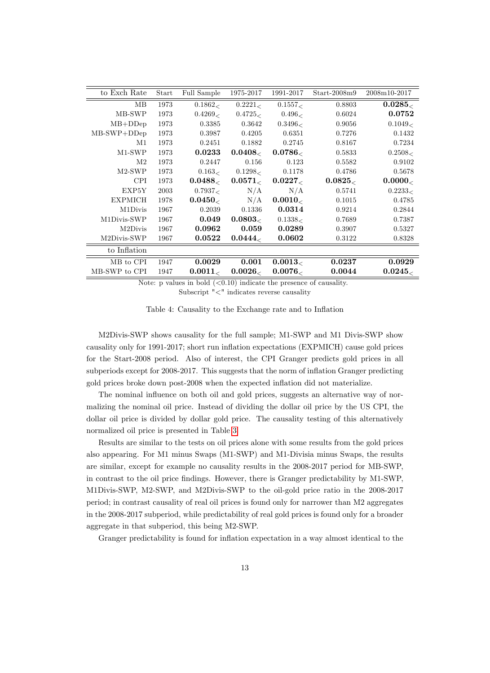| to Exch Rate   | Start | Full Sample | 1975-2017              | 1991-2017              | $Start-2008m9$ | 2008m10-2017 |
|----------------|-------|-------------|------------------------|------------------------|----------------|--------------|
| MВ             | 1973  | 0.1862<     | 0.2221                 | 0.1557<                | 0.8803         | $0.0285_<$   |
| MB-SWP         | 1973  | 0.4269<     | 0.4725<                | 0.496<                 | 0.6024         | 0.0752       |
| $MB+DDep$      | 1973  | 0.3385      | 0.3642                 | 0.3496<                | 0.9056         | 0.1049<      |
| $MB-SWP+DDep$  | 1973  | 0.3987      | 0.4205                 | 0.6351                 | 0.7276         | 0.1432       |
| M1             | 1973  | 0.2451      | 0.1882                 | 0.2745                 | 0.8167         | 0.7234       |
| $M1-SWP$       | 1973  | 0.0233      | 0.0408 <sub>&lt;</sub> | $0.0786_<$             | 0.5833         | 0.2508<      |
| M2             | 1973  | 0.2447      | 0.156                  | 0.123                  | 0.5582         | 0.9102       |
| $M2-SWP$       | 1973  | 0.163<      | 0.1298 <sub>0</sub>    | 0.1178                 | 0.4786         | 0.5678       |
| <b>CPI</b>     | 1973  | $0.0488_<$  | $0.0571_<$             | $0.0227_<$             | $0.0825_<$     | $0.0000_<$   |
| EXP5Y          | 2003  | 0.7937<     | N/A                    | N/A                    | 0.5741         | 0.2233<      |
| <b>EXPMICH</b> | 1978  | $0.0450_<$  | N/A                    | 0.0010 <sub>&lt;</sub> | 0.1015         | 0.4785       |
| M1Divis        | 1967  | 0.2039      | 0.1336                 | 0.0314                 | 0.9214         | 0.2844       |
| M1Divis-SWP    | 1967  | 0.049       | $0.0803$               | 0.1338<                | 0.7689         | 0.7387       |
| M2Divis        | 1967  | 0.0962      | 0.059                  | 0.0289                 | 0.3907         | 0.5327       |
| M2Divis-SWP    | 1967  | 0.0522      | $0.0444_<$             | 0.0602                 | 0.3122         | 0.8328       |
| to Inflation   |       |             |                        |                        |                |              |
| MB to CPI      | 1947  | 0.0029      | 0.001                  | 0.0013 <sub></sub>     | 0.0237         | 0.0929       |
| MB-SWP to CPI  | 1947  | 0.0011      | $0.0026$               | 0.0076                 | 0.0044         | $0.0245_<$   |

Note: p values in bold  $( $0.10$ ) indicate the presence of causality.$ Subscript "<" indicates reverse causality

<span id="page-13-0"></span>Table 4: Causality to the Exchange rate and to Inflation

M2Divis-SWP shows causality for the full sample; M1-SWP and M1 Divis-SWP show causality only for 1991-2017; short run ináation expectations (EXPMICH) cause gold prices for the Start-2008 period. Also of interest, the CPI Granger predicts gold prices in all subperiods except for 2008-2017. This suggests that the norm of inflation Granger predicting gold prices broke down post-2008 when the expected inflation did not materialize.

The nominal influence on both oil and gold prices, suggests an alternative way of normalizing the nominal oil price. Instead of dividing the dollar oil price by the US CPI, the dollar oil price is divided by dollar gold price. The causality testing of this alternatively normalized oil price is presented in Table [3.](#page-12-1)

Results are similar to the tests on oil prices alone with some results from the gold prices also appearing. For M1 minus Swaps (M1-SWP) and M1-Divisia minus Swaps, the results are similar, except for example no causality results in the 2008-2017 period for MB-SWP, in contrast to the oil price findings. However, there is Granger predictability by M1-SWP, M1Divis-SWP, M2-SWP, and M2Divis-SWP to the oil-gold price ratio in the 2008-2017 period; in contrast causality of real oil prices is found only for narrower than M2 aggregates in the 2008-2017 subperiod, while predictability of real gold prices is found only for a broader aggregate in that subperiod, this being M2-SWP.

Granger predictability is found for inflation expectation in a way almost identical to the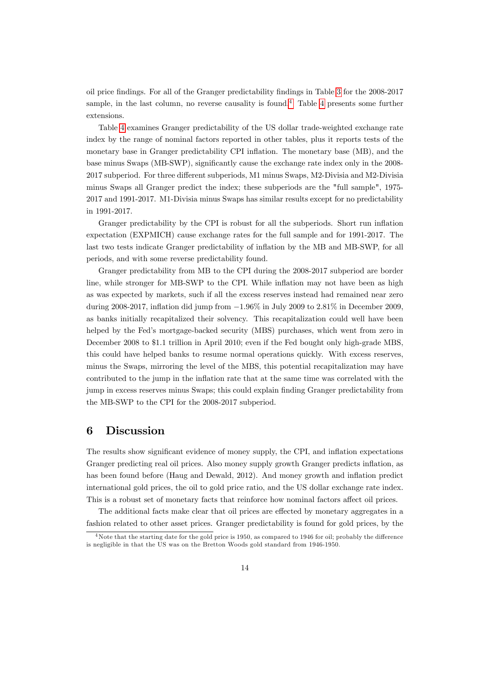oil price Öndings. For all of the Granger predictability Öndings in Table [3](#page-12-1) for the 2008-2017 sample, in the last column, no reverse causality is found.<sup>[4](#page-14-0)</sup> Table [4](#page-13-0) presents some further extensions.

Table [4](#page-13-0) examines Granger predictability of the US dollar trade-weighted exchange rate index by the range of nominal factors reported in other tables, plus it reports tests of the monetary base in Granger predictability CPI inflation. The monetary base (MB), and the base minus Swaps (MB-SWP), significantly cause the exchange rate index only in the 2008-2017 subperiod. For three different subperiods, M1 minus Swaps, M2-Divisia and M2-Divisia minus Swaps all Granger predict the index; these subperiods are the "full sample", 1975- 2017 and 1991-2017. M1-Divisia minus Swaps has similar results except for no predictability in 1991-2017.

Granger predictability by the CPI is robust for all the subperiods. Short run inflation expectation (EXPMICH) cause exchange rates for the full sample and for 1991-2017. The last two tests indicate Granger predictability of inflation by the MB and MB-SWP, for all periods, and with some reverse predictability found.

Granger predictability from MB to the CPI during the 2008-2017 subperiod are border line, while stronger for MB-SWP to the CPI. While inflation may not have been as high as was expected by markets, such if all the excess reserves instead had remained near zero during 2008-2017, inflation did jump from  $-1.96\%$  in July 2009 to 2.81% in December 2009, as banks initially recapitalized their solvency. This recapitalization could well have been helped by the Fed's mortgage-backed security (MBS) purchases, which went from zero in December 2008 to \$1.1 trillion in April 2010; even if the Fed bought only high-grade MBS, this could have helped banks to resume normal operations quickly. With excess reserves, minus the Swaps, mirroring the level of the MBS, this potential recapitalization may have contributed to the jump in the inflation rate that at the same time was correlated with the jump in excess reserves minus Swaps; this could explain Önding Granger predictability from the MB-SWP to the CPI for the 2008-2017 subperiod.

#### 6 Discussion

The results show significant evidence of money supply, the CPI, and inflation expectations Granger predicting real oil prices. Also money supply growth Granger predicts ináation, as has been found before (Haug and Dewald, 2012). And money growth and inflation predict international gold prices, the oil to gold price ratio, and the US dollar exchange rate index. This is a robust set of monetary facts that reinforce how nominal factors affect oil prices.

The additional facts make clear that oil prices are effected by monetary aggregates in a fashion related to other asset prices. Granger predictability is found for gold prices, by the

<span id="page-14-0"></span> $4\text{Note that the starting date for the gold price is 1950, as compared to 1946 for oil; probably the difference$ is negligible in that the US was on the Bretton Woods gold standard from 1946-1950.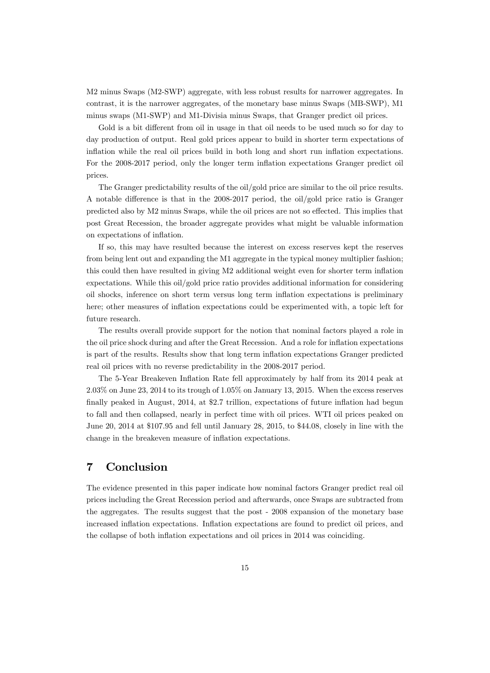M2 minus Swaps (M2-SWP) aggregate, with less robust results for narrower aggregates. In contrast, it is the narrower aggregates, of the monetary base minus Swaps (MB-SWP), M1 minus swaps (M1-SWP) and M1-Divisia minus Swaps, that Granger predict oil prices.

Gold is a bit different from oil in usage in that oil needs to be used much so for day to day production of output. Real gold prices appear to build in shorter term expectations of inflation while the real oil prices build in both long and short run inflation expectations. For the 2008-2017 period, only the longer term inflation expectations Granger predict oil prices.

The Granger predictability results of the oil/gold price are similar to the oil price results. A notable difference is that in the  $2008-2017$  period, the oil/gold price ratio is Granger predicted also by M2 minus Swaps, while the oil prices are not so effected. This implies that post Great Recession, the broader aggregate provides what might be valuable information on expectations of inflation.

If so, this may have resulted because the interest on excess reserves kept the reserves from being lent out and expanding the M1 aggregate in the typical money multiplier fashion; this could then have resulted in giving M2 additional weight even for shorter term inflation expectations. While this oil/gold price ratio provides additional information for considering oil shocks, inference on short term versus long term ináation expectations is preliminary here; other measures of inflation expectations could be experimented with, a topic left for future research.

The results overall provide support for the notion that nominal factors played a role in the oil price shock during and after the Great Recession. And a role for inflation expectations is part of the results. Results show that long term inflation expectations Granger predicted real oil prices with no reverse predictability in the 2008-2017 period.

The 5-Year Breakeven Ináation Rate fell approximately by half from its 2014 peak at  $2.03\%$  on June 23, 2014 to its trough of 1.05% on January 13, 2015. When the excess reserves finally peaked in August,  $2014$ , at \$2.7 trillion, expectations of future inflation had begun to fall and then collapsed, nearly in perfect time with oil prices. WTI oil prices peaked on June 20, 2014 at \$107.95 and fell until January 28, 2015, to \$44:08, closely in line with the change in the breakeven measure of inflation expectations.

# 7 Conclusion

The evidence presented in this paper indicate how nominal factors Granger predict real oil prices including the Great Recession period and afterwards, once Swaps are subtracted from the aggregates. The results suggest that the post - 2008 expansion of the monetary base increased inflation expectations. Inflation expectations are found to predict oil prices, and the collapse of both ináation expectations and oil prices in 2014 was coinciding.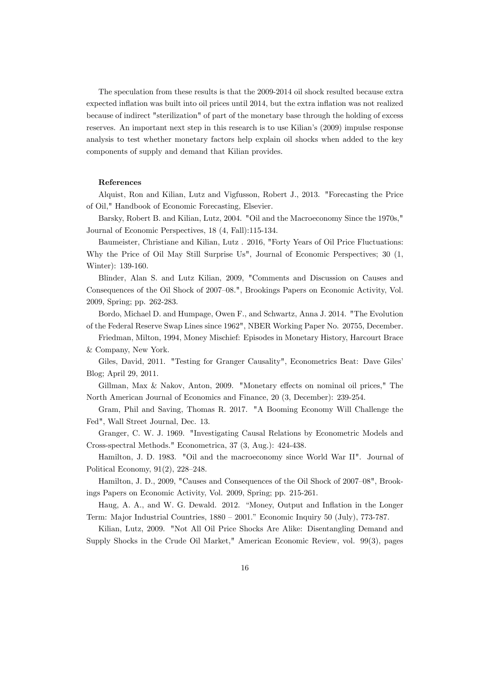The speculation from these results is that the 2009-2014 oil shock resulted because extra expected inflation was built into oil prices until 2014, but the extra inflation was not realized because of indirect "sterilization" of part of the monetary base through the holding of excess reserves. An important next step in this research is to use Kilian's (2009) impulse response analysis to test whether monetary factors help explain oil shocks when added to the key components of supply and demand that Kilian provides.

#### References

Alquist, Ron and Kilian, Lutz and Vigfusson, Robert J., 2013. "Forecasting the Price of Oil," Handbook of Economic Forecasting, Elsevier.

Barsky, Robert B. and Kilian, Lutz, 2004. "Oil and the Macroeconomy Since the 1970s," Journal of Economic Perspectives, 18 (4, Fall):115-134.

Baumeister, Christiane and Kilian, Lutz . 2016, "Forty Years of Oil Price Fluctuations: Why the Price of Oil May Still Surprise Us", Journal of Economic Perspectives; 30 (1, Winter): 139-160.

Blinder, Alan S. and Lutz Kilian, 2009, "Comments and Discussion on Causes and Consequences of the Oil Shock of 2007–08.", Brookings Papers on Economic Activity, Vol. 2009, Spring; pp. 262-283.

Bordo, Michael D. and Humpage, Owen F., and Schwartz, Anna J. 2014. "The Evolution of the Federal Reserve Swap Lines since 1962", NBER Working Paper No. 20755, December.

Friedman, Milton, 1994, Money Mischief: Episodes in Monetary History, Harcourt Brace & Company, New York.

Giles, David, 2011. "Testing for Granger Causality", Econometrics Beat: Dave Gilesí Blog; April 29, 2011.

Gillman, Max  $\&$  Nakov, Anton, 2009. "Monetary effects on nominal oil prices," The North American Journal of Economics and Finance, 20 (3, December): 239-254.

Gram, Phil and Saving, Thomas R. 2017. "A Booming Economy Will Challenge the Fed", Wall Street Journal, Dec. 13.

Granger, C. W. J. 1969. "Investigating Causal Relations by Econometric Models and Cross-spectral Methods." Econometrica, 37 (3, Aug.): 424-438.

Hamilton, J. D. 1983. "Oil and the macroeconomy since World War II". Journal of Political Economy,  $91(2)$ ,  $228-248$ .

Hamilton, J. D., 2009, "Causes and Consequences of the Oil Shock of 2007–08", Brookings Papers on Economic Activity, Vol. 2009, Spring; pp. 215-261.

Haug, A. A., and W. G. Dewald. 2012. "Money, Output and Inflation in the Longer Term: Major Industrial Countries,  $1880 - 2001$ .<sup>n</sup> Economic Inquiry 50 (July), 773-787.

Kilian, Lutz, 2009. "Not All Oil Price Shocks Are Alike: Disentangling Demand and Supply Shocks in the Crude Oil Market," American Economic Review, vol. 99(3), pages